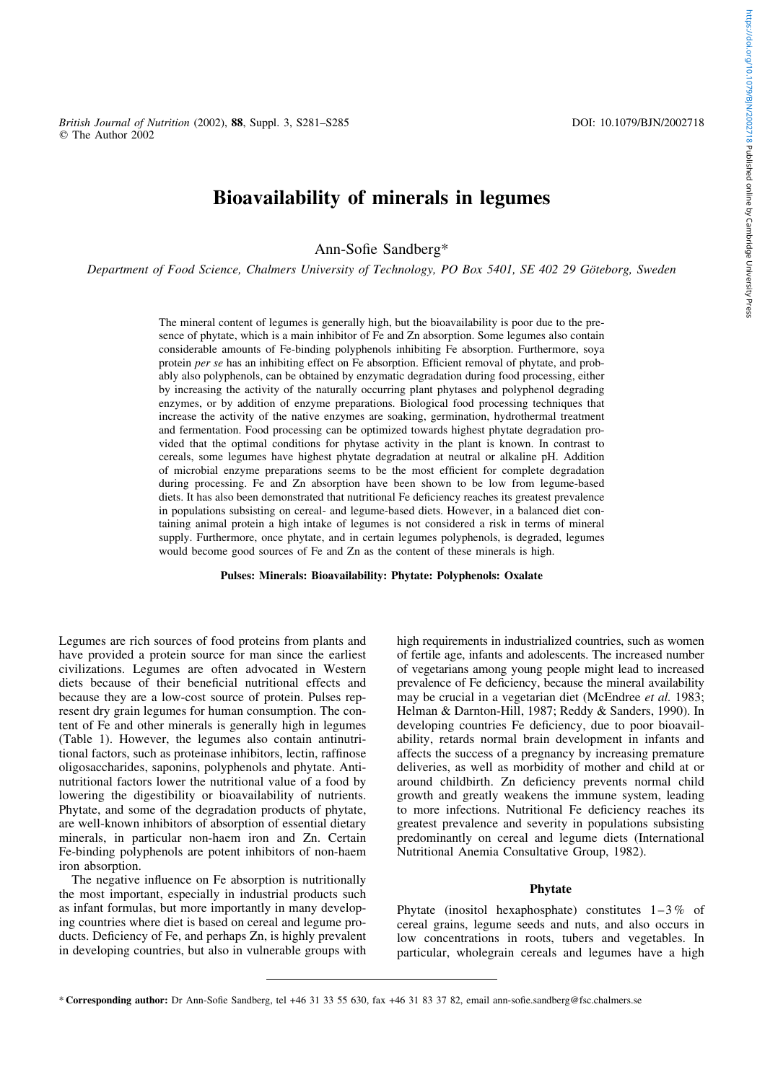British Journal of Nutrition (2002), 88, Suppl. 3, S281–S285 DOI: 10.1079/BJN/2002718  $© The Author 2002$ 

# Bioavailability of minerals in legumes

Ann-Sofie Sandberg\*

Department of Food Science, Chalmers University of Technology, PO Box 5401, SE 402 29 Göteborg, Sweden

The mineral content of legumes is generally high, but the bioavailability is poor due to the presence of phytate, which is a main inhibitor of Fe and Zn absorption. Some legumes also contain considerable amounts of Fe-binding polyphenols inhibiting Fe absorption. Furthermore, soya protein per se has an inhibiting effect on Fe absorption. Efficient removal of phytate, and probably also polyphenols, can be obtained by enzymatic degradation during food processing, either by increasing the activity of the naturally occurring plant phytases and polyphenol degrading enzymes, or by addition of enzyme preparations. Biological food processing techniques that increase the activity of the native enzymes are soaking, germination, hydrothermal treatment and fermentation. Food processing can be optimized towards highest phytate degradation provided that the optimal conditions for phytase activity in the plant is known. In contrast to cereals, some legumes have highest phytate degradation at neutral or alkaline pH. Addition of microbial enzyme preparations seems to be the most efficient for complete degradation during processing. Fe and Zn absorption have been shown to be low from legume-based diets. It has also been demonstrated that nutritional Fe deficiency reaches its greatest prevalence in populations subsisting on cereal- and legume-based diets. However, in a balanced diet containing animal protein a high intake of legumes is not considered a risk in terms of mineral supply. Furthermore, once phytate, and in certain legumes polyphenols, is degraded, legumes would become good sources of Fe and Zn as the content of these minerals is high.

Pulses: Minerals: Bioavailability: Phytate: Polyphenols: Oxalate

Legumes are rich sources of food proteins from plants and have provided a protein source for man since the earliest civilizations. Legumes are often advocated in Western diets because of their beneficial nutritional effects and because they are a low-cost source of protein. Pulses represent dry grain legumes for human consumption. The content of Fe and other minerals is generally high in legumes [\(Table 1\).](#page-1-0) However, the legumes also contain antinutritional factors, such as proteinase inhibitors, lectin, raffinose oligosaccharides, saponins, polyphenols and phytate. Antinutritional factors lower the nutritional value of a food by lowering the digestibility or bioavailability of nutrients. Phytate, and some of the degradation products of phytate, are well-known inhibitors of absorption of essential dietary minerals, in particular non-haem iron and Zn. Certain Fe-binding polyphenols are potent inhibitors of non-haem iron absorption.

The negative influence on Fe absorption is nutritionally the most important, especially in industrial products such as infant formulas, but more importantly in many developing countries where diet is based on cereal and legume products. Deficiency of Fe, and perhaps Zn, is highly prevalent in developing countries, but also in vulnerable groups with high requirements in industrialized countries, such as women of fertile age, infants and adolescents. The increased number of vegetarians among young people might lead to increased prevalence of Fe deficiency, because the mineral availability may be crucial in a vegetarian diet (McEndree et al. 1983; Helman & Darnton-Hill, 1987; Reddy & Sanders, 1990). In developing countries Fe deficiency, due to poor bioavailability, retards normal brain development in infants and affects the success of a pregnancy by increasing premature deliveries, as well as morbidity of mother and child at or around childbirth. Zn deficiency prevents normal child growth and greatly weakens the immune system, leading to more infections. Nutritional Fe deficiency reaches its greatest prevalence and severity in populations subsisting predominantly on cereal and legume diets (International Nutritional Anemia Consultative Group, 1982).

## Phytate

Phytate (inositol hexaphosphate) constitutes  $1-3\%$  of cereal grains, legume seeds and nuts, and also occurs in low concentrations in roots, tubers and vegetables. In particular, wholegrain cereals and legumes have a high

<sup>\*</sup> Corresponding author: Dr Ann-Sofie Sandberg, tel +46 31 33 55 630, fax +46 31 83 37 82, email ann-sofie.sandberg@fsc.chalmers.se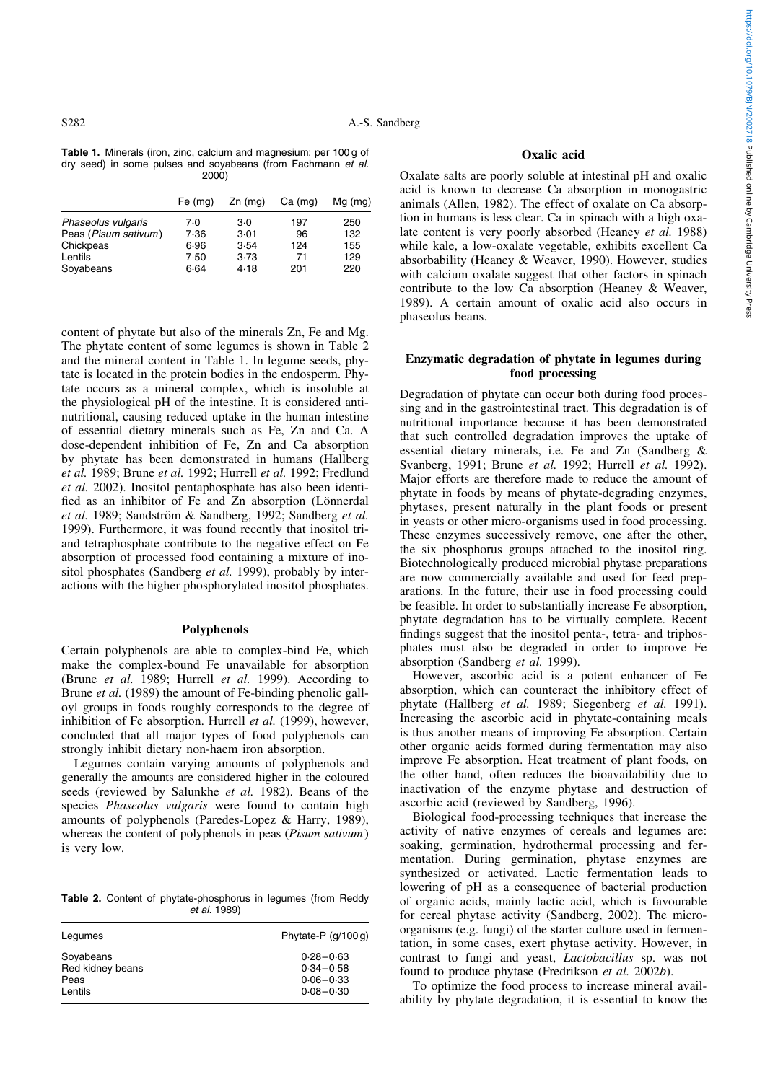<span id="page-1-0"></span>Table 1. Minerals (iron, zinc, calcium and magnesium; per 100 g of dry seed) in some pulses and soyabeans (from Fachmann et al. 2000)

|                                                                                 | Fe (mg)                             | $Zn$ (mg)                             | Ca (mg)                       | Mg (mg)                         |
|---------------------------------------------------------------------------------|-------------------------------------|---------------------------------------|-------------------------------|---------------------------------|
| Phaseolus vulgaris<br>Peas (Pisum sativum)<br>Chickpeas<br>Lentils<br>Sovabeans | 7.0<br>7.36<br>6.96<br>7.50<br>6.64 | $3-0$<br>3.01<br>3.54<br>3.73<br>4.18 | 197<br>96<br>124<br>71<br>201 | 250<br>132<br>155<br>129<br>220 |

content of phytate but also of the minerals Zn, Fe and Mg. The phytate content of some legumes is shown in Table 2 and the mineral content in Table 1. In legume seeds, phytate is located in the protein bodies in the endosperm. Phytate occurs as a mineral complex, which is insoluble at the physiological pH of the intestine. It is considered antinutritional, causing reduced uptake in the human intestine of essential dietary minerals such as Fe, Zn and Ca. A dose-dependent inhibition of Fe, Zn and Ca absorption by phytate has been demonstrated in humans (Hallberg et al. 1989; Brune et al. 1992; Hurrell et al. 1992; Fredlund et al. 2002). Inositol pentaphosphate has also been identified as an inhibitor of Fe and Zn absorption (Lönnerdal et al. 1989; Sandström & Sandberg, 1992; Sandberg et al. 1999). Furthermore, it was found recently that inositol triand tetraphosphate contribute to the negative effect on Fe absorption of processed food containing a mixture of inositol phosphates (Sandberg et al. 1999), probably by interactions with the higher phosphorylated inositol phosphates.

### Polyphenols

Certain polyphenols are able to complex-bind Fe, which make the complex-bound Fe unavailable for absorption (Brune et al. 1989; Hurrell et al. 1999). According to Brune *et al.* (1989) the amount of Fe-binding phenolic galloyl groups in foods roughly corresponds to the degree of inhibition of Fe absorption. Hurrell et al. (1999), however, concluded that all major types of food polyphenols can strongly inhibit dietary non-haem iron absorption.

Legumes contain varying amounts of polyphenols and generally the amounts are considered higher in the coloured seeds (reviewed by Salunkhe et al. 1982). Beans of the species Phaseolus vulgaris were found to contain high amounts of polyphenols (Paredes-Lopez & Harry, 1989), whereas the content of polyphenols in peas (*Pisum sativum*) is very low.

Table 2. Content of phytate-phosphorus in legumes (from Reddy et al. 1989)

| Legumes          | Phytate-P $(g/100g)$ |  |  |
|------------------|----------------------|--|--|
| Sovabeans        | $0.28 - 0.63$        |  |  |
| Red kidney beans | $0.34 - 0.58$        |  |  |
| Peas             | $0.06 - 0.33$        |  |  |
| Lentils          | $0.08 - 0.30$        |  |  |

## Oxalic acid

Oxalate salts are poorly soluble at intestinal pH and oxalic acid is known to decrease Ca absorption in monogastric animals (Allen, 1982). The effect of oxalate on Ca absorption in humans is less clear. Ca in spinach with a high oxalate content is very poorly absorbed (Heaney et al. 1988) while kale, a low-oxalate vegetable, exhibits excellent Ca absorbability (Heaney & Weaver, 1990). However, studies with calcium oxalate suggest that other factors in spinach contribute to the low Ca absorption (Heaney & Weaver, 1989). A certain amount of oxalic acid also occurs in phaseolus beans.

# Enzymatic degradation of phytate in legumes during food processing

Degradation of phytate can occur both during food processing and in the gastrointestinal tract. This degradation is of nutritional importance because it has been demonstrated that such controlled degradation improves the uptake of essential dietary minerals, i.e. Fe and Zn (Sandberg & Svanberg, 1991; Brune et al. 1992; Hurrell et al. 1992). Major efforts are therefore made to reduce the amount of phytate in foods by means of phytate-degrading enzymes, phytases, present naturally in the plant foods or present in yeasts or other micro-organisms used in food processing. These enzymes successively remove, one after the other, the six phosphorus groups attached to the inositol ring. Biotechnologically produced microbial phytase preparations are now commercially available and used for feed preparations. In the future, their use in food processing could be feasible. In order to substantially increase Fe absorption, phytate degradation has to be virtually complete. Recent findings suggest that the inositol penta-, tetra- and triphosphates must also be degraded in order to improve Fe absorption (Sandberg et al. 1999).

However, ascorbic acid is a potent enhancer of Fe absorption, which can counteract the inhibitory effect of phytate (Hallberg et al. 1989; Siegenberg et al. 1991). Increasing the ascorbic acid in phytate-containing meals is thus another means of improving Fe absorption. Certain other organic acids formed during fermentation may also improve Fe absorption. Heat treatment of plant foods, on the other hand, often reduces the bioavailability due to inactivation of the enzyme phytase and destruction of ascorbic acid (reviewed by Sandberg, 1996).

Biological food-processing techniques that increase the activity of native enzymes of cereals and legumes are: soaking, germination, hydrothermal processing and fermentation. During germination, phytase enzymes are synthesized or activated. Lactic fermentation leads to lowering of pH as a consequence of bacterial production of organic acids, mainly lactic acid, which is favourable for cereal phytase activity (Sandberg, 2002). The microorganisms (e.g. fungi) of the starter culture used in fermentation, in some cases, exert phytase activity. However, in contrast to fungi and yeast, Lactobacillus sp. was not found to produce phytase (Fredrikson et al. 2002b).

To optimize the food process to increase mineral availability by phytate degradation, it is essential to know the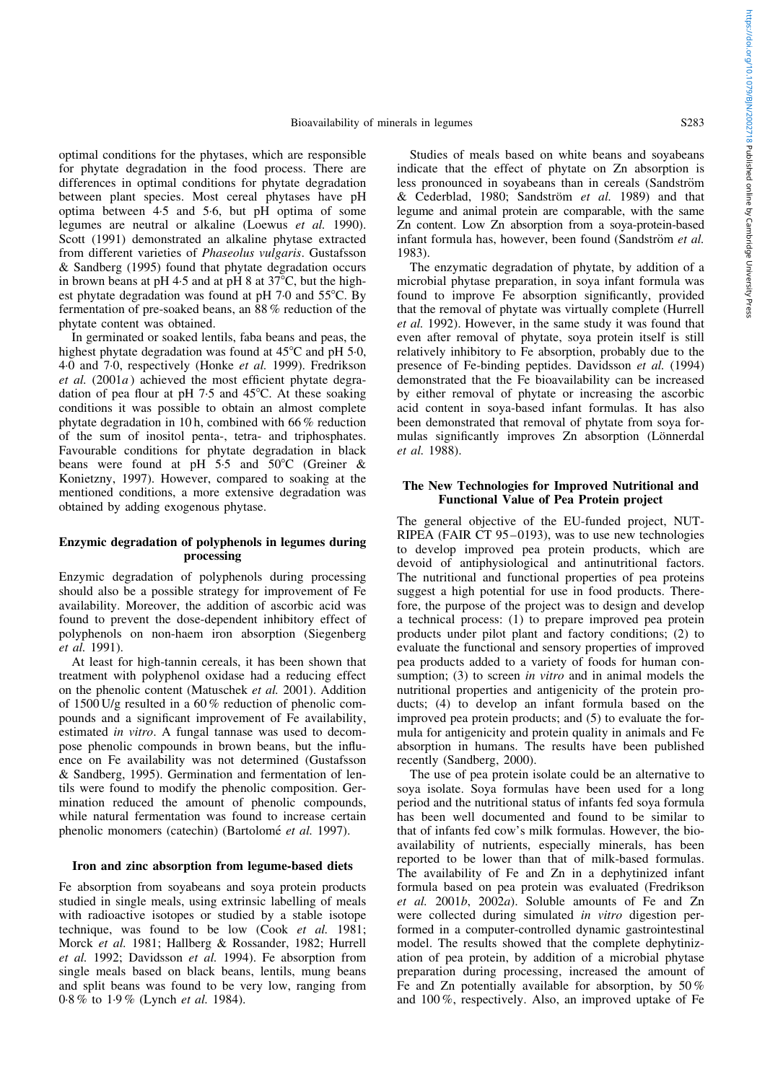optimal conditions for the phytases, which are responsible for phytate degradation in the food process. There are differences in optimal conditions for phytate degradation between plant species. Most cereal phytases have pH optima between 4·5 and 5·6, but pH optima of some legumes are neutral or alkaline (Loewus et al. 1990). Scott (1991) demonstrated an alkaline phytase extracted from different varieties of Phaseolus vulgaris. Gustafsson & Sandberg (1995) found that phytate degradation occurs in brown beans at pH 4.5 and at pH 8 at  $37^{\circ}$ C, but the highest phytate degradation was found at pH  $7.0$  and  $55^{\circ}$ C. By fermentation of pre-soaked beans, an 88 % reduction of the phytate content was obtained.

In germinated or soaked lentils, faba beans and peas, the highest phytate degradation was found at  $45^{\circ}$ C and pH 5·0, 4·0 and 7·0, respectively (Honke et al. 1999). Fredrikson et al.  $(2001a)$  achieved the most efficient phytate degradation of pea flour at pH 7.5 and  $45^{\circ}$ C. At these soaking conditions it was possible to obtain an almost complete phytate degradation in 10 h, combined with 66 % reduction of the sum of inositol penta-, tetra- and triphosphates. Favourable conditions for phytate degradation in black beans were found at pH  $5.5$  and  $50^{\circ}$ C (Greiner & Konietzny, 1997). However, compared to soaking at the mentioned conditions, a more extensive degradation was obtained by adding exogenous phytase.

# Enzymic degradation of polyphenols in legumes during processing

Enzymic degradation of polyphenols during processing should also be a possible strategy for improvement of Fe availability. Moreover, the addition of ascorbic acid was found to prevent the dose-dependent inhibitory effect of polyphenols on non-haem iron absorption (Siegenberg et al. 1991).

At least for high-tannin cereals, it has been shown that treatment with polyphenol oxidase had a reducing effect on the phenolic content (Matuschek et al. 2001). Addition of 1500 U/g resulted in a 60 % reduction of phenolic compounds and a significant improvement of Fe availability, estimated in vitro. A fungal tannase was used to decompose phenolic compounds in brown beans, but the influence on Fe availability was not determined (Gustafsson & Sandberg, 1995). Germination and fermentation of lentils were found to modify the phenolic composition. Germination reduced the amount of phenolic compounds, while natural fermentation was found to increase certain phenolic monomers (catechin) (Bartolomé et al. 1997).

# Iron and zinc absorption from legume-based diets

Fe absorption from soyabeans and soya protein products studied in single meals, using extrinsic labelling of meals with radioactive isotopes or studied by a stable isotope technique, was found to be low (Cook et al. 1981; Morck et al. 1981; Hallberg & Rossander, 1982; Hurrell et al. 1992; Davidsson et al. 1994). Fe absorption from single meals based on black beans, lentils, mung beans and split beans was found to be very low, ranging from 0·8 % to 1·9 % (Lynch et al. 1984).

Studies of meals based on white beans and soyabeans indicate that the effect of phytate on Zn absorption is less pronounced in soyabeans than in cereals (Sandström & Cederblad, 1980; Sandström et al. 1989) and that legume and animal protein are comparable, with the same Zn content. Low Zn absorption from a soya-protein-based infant formula has, however, been found (Sandström et al. 1983).

The enzymatic degradation of phytate, by addition of a microbial phytase preparation, in soya infant formula was found to improve Fe absorption significantly, provided that the removal of phytate was virtually complete (Hurrell et al. 1992). However, in the same study it was found that even after removal of phytate, soya protein itself is still relatively inhibitory to Fe absorption, probably due to the presence of Fe-binding peptides. Davidsson et al. (1994) demonstrated that the Fe bioavailability can be increased by either removal of phytate or increasing the ascorbic acid content in soya-based infant formulas. It has also been demonstrated that removal of phytate from soya formulas significantly improves Zn absorption (Lönnerdal et al. 1988).

## The New Technologies for Improved Nutritional and Functional Value of Pea Protein project

The general objective of the EU-funded project, NUT-RIPEA (FAIR CT 95–0193), was to use new technologies to develop improved pea protein products, which are devoid of antiphysiological and antinutritional factors. The nutritional and functional properties of pea proteins suggest a high potential for use in food products. Therefore, the purpose of the project was to design and develop a technical process: (1) to prepare improved pea protein products under pilot plant and factory conditions; (2) to evaluate the functional and sensory properties of improved pea products added to a variety of foods for human consumption; (3) to screen *in vitro* and in animal models the nutritional properties and antigenicity of the protein products; (4) to develop an infant formula based on the improved pea protein products; and (5) to evaluate the formula for antigenicity and protein quality in animals and Fe absorption in humans. The results have been published recently (Sandberg, 2000).

The use of pea protein isolate could be an alternative to soya isolate. Soya formulas have been used for a long period and the nutritional status of infants fed soya formula has been well documented and found to be similar to that of infants fed cow's milk formulas. However, the bioavailability of nutrients, especially minerals, has been reported to be lower than that of milk-based formulas. The availability of Fe and Zn in a dephytinized infant formula based on pea protein was evaluated (Fredrikson et al. 2001b, 2002a). Soluble amounts of Fe and Zn were collected during simulated in vitro digestion performed in a computer-controlled dynamic gastrointestinal model. The results showed that the complete dephytinization of pea protein, by addition of a microbial phytase preparation during processing, increased the amount of Fe and Zn potentially available for absorption, by 50 % and 100 %, respectively. Also, an improved uptake of Fe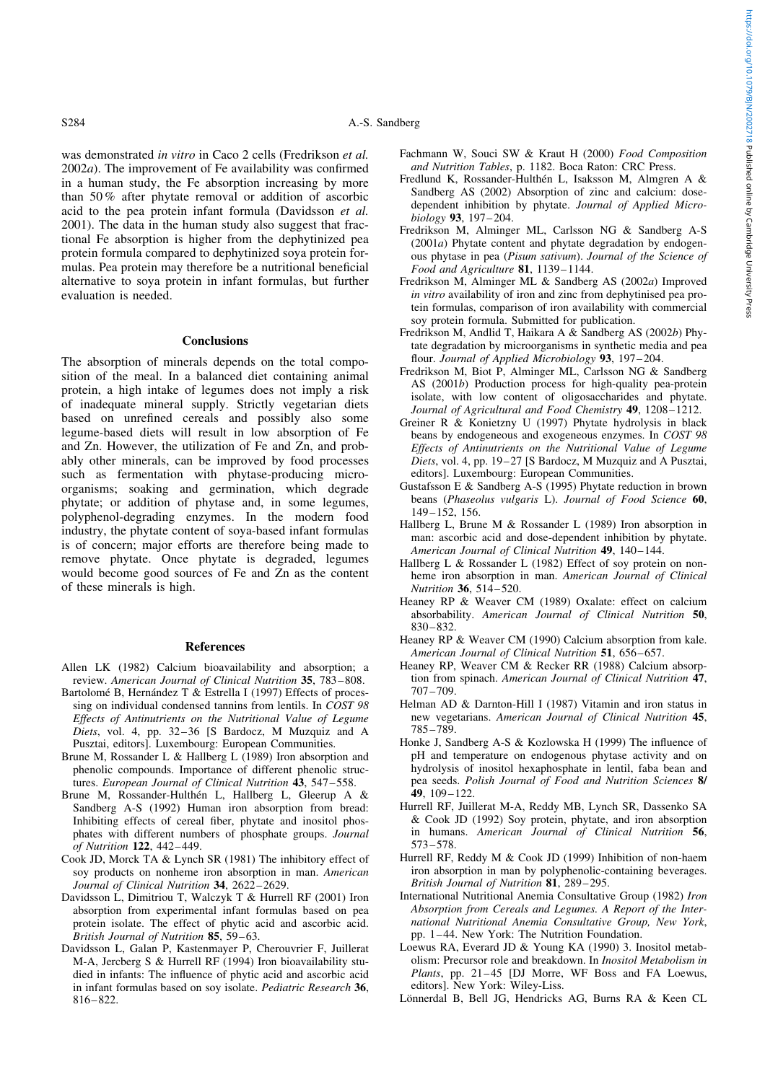was demonstrated in vitro in Caco 2 cells (Fredrikson et al.  $2002a$ ). The improvement of Fe availability was confirmed in a human study, the Fe absorption increasing by more than 50 % after phytate removal or addition of ascorbic acid to the pea protein infant formula (Davidsson et al. 2001). The data in the human study also suggest that fractional Fe absorption is higher from the dephytinized pea protein formula compared to dephytinized soya protein formulas. Pea protein may therefore be a nutritional beneficial alternative to soya protein in infant formulas, but further evaluation is needed.

#### **Conclusions**

The absorption of minerals depends on the total composition of the meal. In a balanced diet containing animal protein, a high intake of legumes does not imply a risk of inadequate mineral supply. Strictly vegetarian diets based on unrefined cereals and possibly also some legume-based diets will result in low absorption of Fe and Zn. However, the utilization of Fe and Zn, and probably other minerals, can be improved by food processes such as fermentation with phytase-producing microorganisms; soaking and germination, which degrade phytate; or addition of phytase and, in some legumes, polyphenol-degrading enzymes. In the modern food industry, the phytate content of soya-based infant formulas is of concern; major efforts are therefore being made to remove phytate. Once phytate is degraded, legumes would become good sources of Fe and Zn as the content of these minerals is high.

#### References

- Allen LK (1982) Calcium bioavailability and absorption; a review. American Journal of Clinical Nutrition 35, 783–808.
- Bartolomé B, Hernández T & Estrella I (1997) Effects of processing on individual condensed tannins from lentils. In COST 98 Effects of Antinutrients on the Nutritional Value of Legume Diets, vol. 4, pp. 32–36 [S Bardocz, M Muzquiz and A Pusztai, editors]. Luxembourg: European Communities.
- Brune M, Rossander L & Hallberg L (1989) Iron absorption and phenolic compounds. Importance of different phenolic structures. European Journal of Clinical Nutrition 43, 547–558.
- Brune M, Rossander-Hulthén L, Hallberg L, Gleerup A & Sandberg A-S (1992) Human iron absorption from bread: Inhibiting effects of cereal fiber, phytate and inositol phosphates with different numbers of phosphate groups. Journal of Nutrition 122, 442–449.
- Cook JD, Morck TA & Lynch SR (1981) The inhibitory effect of soy products on nonheme iron absorption in man. American Journal of Clinical Nutrition 34, 2622-2629.
- Davidsson L, Dimitriou T, Walczyk T & Hurrell RF (2001) Iron absorption from experimental infant formulas based on pea protein isolate. The effect of phytic acid and ascorbic acid. British Journal of Nutrition 85, 59–63.
- Davidsson L, Galan P, Kastenmayer P, Cherouvrier F, Juillerat M-A, Jercberg S & Hurrell RF (1994) Iron bioavailability studied in infants: The influence of phytic acid and ascorbic acid in infant formulas based on soy isolate. Pediatric Research 36, 816–822.
- Fachmann W, Souci SW & Kraut H (2000) Food Composition and Nutrition Tables, p. 1182. Boca Raton: CRC Press.
- Fredlund K, Rossander-Hulthén L, Isaksson M, Almgren A & Sandberg AS (2002) Absorption of zinc and calcium: dosedependent inhibition by phytate. Journal of Applied Microbiology 93, 197–204.
- Fredrikson M, Alminger ML, Carlsson NG & Sandberg A-S (2001a) Phytate content and phytate degradation by endogenous phytase in pea (Pisum sativum). Journal of the Science of Food and Agriculture 81, 1139–1144.
- Fredrikson M, Alminger ML & Sandberg AS (2002a) Improved in vitro availability of iron and zinc from dephytinised pea protein formulas, comparison of iron availability with commercial soy protein formula. Submitted for publication.
- Fredrikson M, Andlid T, Haikara A & Sandberg AS (2002b) Phytate degradation by microorganisms in synthetic media and pea flour. Journal of Applied Microbiology 93, 197–204.
- Fredrikson M, Biot P, Alminger ML, Carlsson NG & Sandberg AS (2001b) Production process for high-quality pea-protein isolate, with low content of oligosaccharides and phytate. Journal of Agricultural and Food Chemistry 49, 1208-1212.
- Greiner R & Konietzny U (1997) Phytate hydrolysis in black beans by endogeneous and exogeneous enzymes. In COST 98 Effects of Antinutrients on the Nutritional Value of Legume Diets, vol. 4, pp. 19–27 [S Bardocz, M Muzquiz and A Pusztai, editors]. Luxembourg: European Communities.
- Gustafsson E & Sandberg A-S (1995) Phytate reduction in brown beans (Phaseolus vulgaris L). Journal of Food Science 60, 149–152, 156.
- Hallberg L, Brune M & Rossander L (1989) Iron absorption in man: ascorbic acid and dose-dependent inhibition by phytate. American Journal of Clinical Nutrition 49, 140–144.
- Hallberg L & Rossander L (1982) Effect of soy protein on nonheme iron absorption in man. American Journal of Clinical Nutrition 36, 514–520.
- Heaney RP & Weaver CM (1989) Oxalate: effect on calcium absorbability. American Journal of Clinical Nutrition 50, 830–832.
- Heaney RP & Weaver CM (1990) Calcium absorption from kale. American Journal of Clinical Nutrition 51, 656-657.
- Heaney RP, Weaver CM & Recker RR (1988) Calcium absorption from spinach. American Journal of Clinical Nutrition 47, 707–709.
- Helman AD & Darnton-Hill I (1987) Vitamin and iron status in new vegetarians. American Journal of Clinical Nutrition 45, 785–789.
- Honke J, Sandberg A-S & Kozlowska H (1999) The influence of pH and temperature on endogenous phytase activity and on hydrolysis of inositol hexaphosphate in lentil, faba bean and pea seeds. Polish Journal of Food and Nutrition Sciences 8/ 49, 109–122.
- Hurrell RF, Juillerat M-A, Reddy MB, Lynch SR, Dassenko SA & Cook JD (1992) Soy protein, phytate, and iron absorption in humans. American Journal of Clinical Nutrition 56, 573–578.
- Hurrell RF, Reddy M & Cook JD (1999) Inhibition of non-haem iron absorption in man by polyphenolic-containing beverages. British Journal of Nutrition 81, 289–295.
- International Nutritional Anemia Consultative Group (1982) Iron Absorption from Cereals and Legumes. A Report of the International Nutritional Anemia Consultative Group, New York, pp. 1–44. New York: The Nutrition Foundation.
- Loewus RA, Everard JD & Young KA (1990) 3. Inositol metabolism: Precursor role and breakdown. In Inositol Metabolism in Plants, pp. 21-45 [DJ Morre, WF Boss and FA Loewus, editors]. New York: Wiley-Liss.
- Lönnerdal B, Bell JG, Hendricks AG, Burns RA & Keen CL